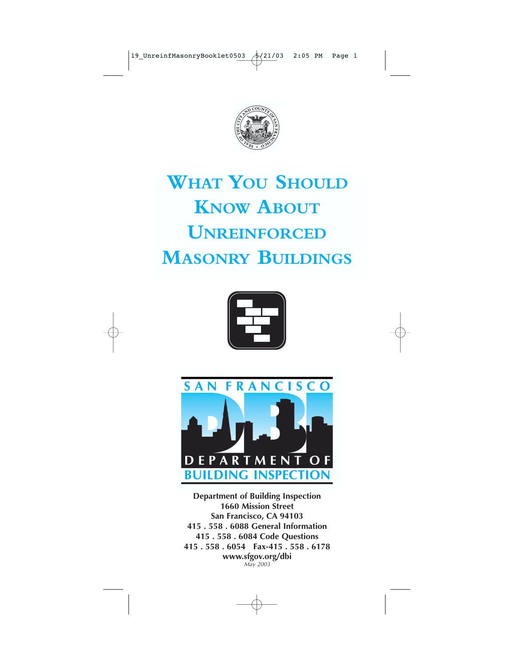

## **WHAT YOU SHOULD KNOW ABOUT UNREINFORCE MASONRY BUILDINGS**





**Department of Building Inspection 1660 Mission Street San Francisco, CA 94103 415 . 558 . 6088 General Information 415 . 558 . 6084 Code Questions 415 . 558 . 6054 Fax-415 . 558 . 6178 www.sfgov.org/dbi** *May 2003*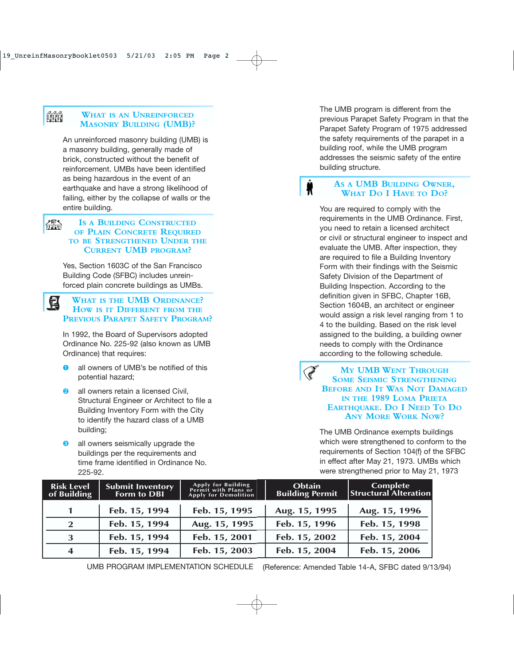#### ĤĤ **WHAT IS AN UNREINFORCED MASONRY BUILDING (UMB)?**

An unreinforced masonry building (UMB) is a masonry building, generally made of brick, constructed without the benefit of reinforcement. UMBs have been identified as being hazardous in the event of an earthquake and have a strong likelihood of failing, either by the collapse of walls or the entire building.

#### 織 **IS A BUILDING CONSTRUCTED OF PLAIN CONCRETE REQUIRED TO BE STRENGTHENED UNDER THE CURRENT UMB PROGRAM?**

Yes, Section 1603C of the San Francisco Building Code (SFBC) includes unreinforced plain concrete buildings as UMBs.

#### **WHAT IS THE UMB ORDINANCE? HOW IS IT DIFFERENT FROM THE PREVIOUS PARAPET SAFETY PROGRAM? 3**

In 1992, the Board of Supervisors adopted Ordinance No. 225-92 (also known as UMB Ordinance) that requires:

- **O** all owners of UMB's be notified of this potential hazard;
- **a** all owners retain a licensed Civil. Structural Engineer or Architect to file a Building Inventory Form with the City to identify the hazard class of a UMB building;
- **8** all owners seismically upgrade the buildings per the requirements and time frame identified in Ordinance No. 225-92.

The UMB program is different from the previous Parapet Safety Program in that the Parapet Safety Program of 1975 addressed the safety requirements of the parapet in a building roof, while the UMB program addresses the seismic safety of the entire building structure.

**AS A UMB BUILDING OWNER, WHAT DO I HAVE TO DO?**

You are required to comply with the requirements in the UMB Ordinance. First, you need to retain a licensed architect or civil or structural engineer to inspect and evaluate the UMB. After inspection, they are required to file a Building Inventory Form with their findings with the Seismic Safety Division of the Department of Building Inspection. According to the definition given in SFBC, Chapter 16B, Section 1604B, an architect or engineer would assign a risk level ranging from 1 to 4 to the building. Based on the risk level assigned to the building, a building owner needs to comply with the Ordinance according to the following schedule.

**MY UMB WENT THROUGH SOME SEISMIC STRENGTHENING BEFORE AND IT WAS NOT DAMAGED IN THE 1989 LOMA PRIETA EARTHQUAKE. DO I NEED TO DO ANY MORE WORK NOW?**

The UMB Ordinance exempts buildings which were strengthened to conform to the requirements of Section 104(f) of the SFBC in effect after May 21, 1973. UMBs which were strengthened prior to May 21, 1973

| <b>Risk Level</b><br>of Building | <b>Submit Inventory</b><br>Form to DBI | Apply for Building<br>Permit with Plans or<br><b>Apply for Demolition</b> | Obtain<br><b>Building Permit</b> | Complete<br><b>Structural Alteration</b> |
|----------------------------------|----------------------------------------|---------------------------------------------------------------------------|----------------------------------|------------------------------------------|
| $\mathbf 1$                      | Feb. 15, 1994                          | Feb. 15, 1995                                                             | Aug. 15, 1995                    | Aug. 15, 1996                            |
| <sup>2</sup>                     | Feb. 15, 1994                          | Aug. 15, 1995                                                             | Feb. 15, 1996                    | Feb. 15, 1998                            |
| 3                                | Feb. 15, 1994                          | Feb. 15, 2001                                                             | Feb. 15, 2002                    | Feb. 15, 2004                            |
| $\overline{\mathbf{4}}$          | Feb. 15, 1994                          | Feb. 15, 2003                                                             | Feb. 15, 2004                    | Feb. 15, 2006                            |

(Reference: Amended Table 14-A, SFBC dated 9/13/94) UMB PROGRAM IMPLEMENTATION SCHEDULE

**Call Street**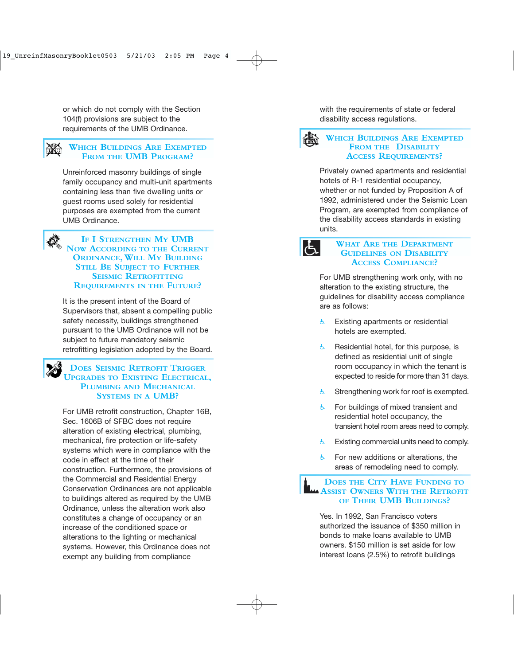or which do not comply with the Section 104(f) provisions are subject to the requirements of the UMB Ordinance.

## **WHICH BUILDINGS ARE EXEMPTED FROM THE UMB PROGRAM?**

Unreinforced masonry buildings of single family occupancy and multi-unit apartments containing less than five dwelling units or guest rooms used solely for residential purposes are exempted from the current UMB Ordinance.

ð

**IF I STRENGTHEN M Y UMB NOW ACCORDING TO THE CURRENT ORDINANCE,WILL M Y BUILDING STILL B E SUBJECT TO FURTHER SEISMIC RETROFITTING REQUIREMENTS IN THE FUTURE ?**

It is the present intent of the Board of Supervisors that, absent a compelling public safety necessity, buildings strengthened pursuant to the UMB Ordinance will not be subject to future mandatory seismic retrofitting legislation adopted by the Board.

# **DOES SEISMIC RETROFIT TRIGGER UPGRADES TO EXISTING ELECTRICAL, PLUMBING AND MECHANICAL SYSTEMS IN A UMB?**

For UMB retrofit construction, Chapter 16B, Sec. 1606B of SFBC does not require alteration of existing electrical, plumbing, mechanical, fire protection or life-safety systems which were in compliance with the code in effect at the time of their construction. Furthermore, the provisions of the Commercial and Residential Energy Conservation Ordinances are not applicable to buildings altered as required by the UMB Ordinance, unless the alteration work also constitutes a change of occupancy or an increase of the conditioned space or alterations to the lighting or mechanical systems. However, this Ordinance does not exempt any building from compliance

with the requirements of state or federal disability access regulations.



### **WHICH BUILDINGS ARE EXEMPTED FROM THE DISABILITY ACCESS REQUIREMENTS ?**

Privately owned apartments and residential hotels of R-1 residential occupancy, whether or not funded by Proposition A of 1992, administered under the Seismic Loan Program, are exempted from compliance of the disability access standards in existing units.

 $\mathcal{F}$ 

#### **WHAT ARE THE DEPARTMENT GUIDELINES ON DISABILITY ACCESS COMPLIANCE ?**

For UMB strengthening work only, with no alteration to the existing structure, the guidelines for disability access compliance are as follows:

- $\frac{1}{6}$  Existing apartments or residential hotels are exempted.
- $\frac{1}{6}$  Residential hotel, for this purpose, is defined as residential unit of single room occupancy in which the tenant is expected to reside for more than 31 days.
- $\frac{1}{2}$  Strengthening work for roof is exempted.
- $6$  For buildings of mixed transient and residential hotel occupancy, the transient hotel room areas need to comply.
- $\epsilon$  Existing commercial units need to comply.
- $\upphi$  For new additions or alterations, the areas of remodeling need to comply.

#### **DOES THE CITY HAVE FUNDING TO ASSIST OWNERS WITH THE RETROFIT OF THEIR UMB BUILDINGS ?**

Yes. In 1992, San Francisco voters authorized the issuance of \$350 million in bonds to make loans available to UMB owners. \$150 million is set aside for low interest loans (2.5%) to retrofit buildings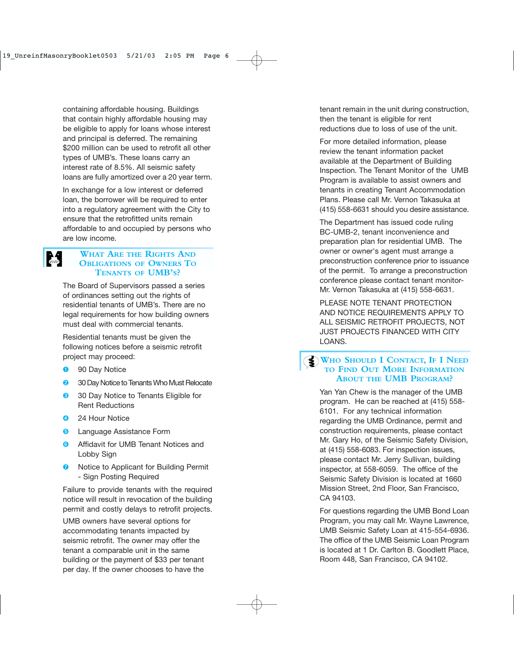containing affordable housing. Buildings that contain highly affordable housing may be eligible to apply for loans whose interest and principal is deferred. The remaining \$200 million can be used to retrofit all other types of UMB's. These loans carry an interest rate of 8.5%. All seismic safety loans are fully amortized over a 20 year term.

In exchange for a low interest or deferred loan, the borrower will be required to enter into a regulatory agreement with the City to ensure that the retrofitted units remain affordable to and occupied by persons who are low income.

## M

#### **WHAT ARE THE RIGHTS AND OBLIGATIONS OF OWNERS T O TENANTS OF UMB' S ?**

The Board of Supervisors passed a series of ordinances setting out the rights of residential tenants of UMB's. There are no legal requirements for how building owners must deal with commercial tenants.

Residential tenants must be given the following notices before a seismic retrofit project may proceed:

- **O** 90 Day Notice
- 8 30 Day Notice to Tenants Who Must Relocate
- ➌ 30 Day Notice to Tenants Eligible for Rent Reductions
- **4** 24 Hour Notice
- **<sup>O</sup>** Language Assistance Form
- **O** Affidavit for UMB Tenant Notices and Lobby Sign
- **O** Notice to Applicant for Building Permit - Sign Posting Required

Failure to provide tenants with the required notice will result in revocation of the building permit and costly delays to retrofit projects.

UMB owners have several options for accommodating tenants impacted by seismic retrofit. The owner may offer the tenant a comparable unit in the same building or the payment of \$33 per tenant per day. If the owner chooses to have the

tenant remain in the unit during construction, then the tenant is eligible for rent reductions due to loss of use of the unit.

For more detailed information, please review the tenant information packet available at the Department of Building Inspection. The Tenant Monitor of the UMB Program is available to assist owners and tenants in creating Tenant Accommodation Plans. Please call Mr. Vernon Takasuka at (415) 558-6631 should you desire assistance.

The Department has issued code ruling BC-UMB-2, tenant inconvenience and preparation plan for residential UMB. The owner or owner's agent must arrange a preconstruction conference prior to issuance of the permit. To arrange a preconstruction conference please contact tenant monitor-Mr. Vernon Takasuka at (415) 558-6631.

PLEASE NOTE TENANT PROTECTION AND NOTICE REQUIREMENTS APPLY TO ALL SEISMIC RETROFIT PROJECTS, NOT JUST PROJECTS FINANCED WITH CITY LOANS.

#### **WHO SHOULD I CONTACT, I F I NEED TO FIND OUT MORE INFORMATION ABOUT THE UMB P ROGRAM ?**

Yan Yan Chew is the manager of the UMB program. He can be reached at (415) 558- 6101. For any technical information regarding the UMB Ordinance, permit and construction requirements, please contact Mr. Gary Ho, of the Seismic Safety Division, at (415) 558-6083. For inspection issues, please contact Mr. Jerry Sullivan, building inspector, at 558-6059. The office of the Seismic Safety Division is located at 1660 Mission Street, 2nd Floor, San Francisco, CA 94103.

For questions regarding the UMB Bond Loan Program, you may call Mr. Wayne Lawrence, UMB Seismic Safety Loan at 415-554-6936. The office of the UMB Seismic Loan Program is located at 1 Dr. Carlton B. Goodlett Place, Room 448, San Francisco, CA 94102.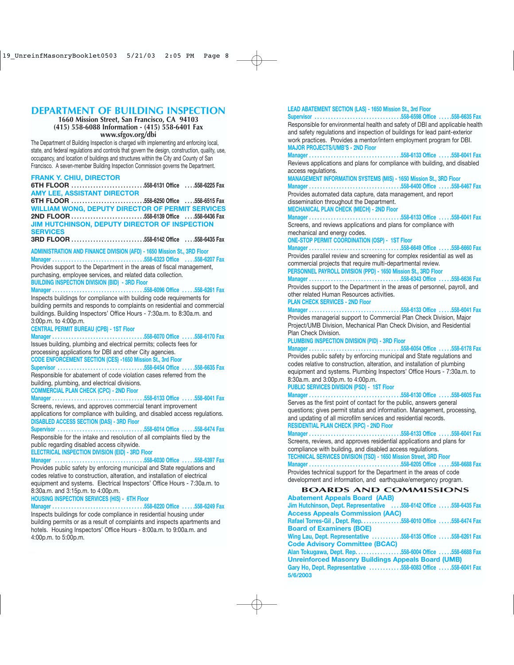### **DEPARTMENT OF BUILDING INSPECTION**

**1660 Mission Street, San Francisco, CA 94103 (415) 558-6088 Information - (415) 558-6401 Fax www.sfgov.org/dbi**

The Department of Building Inspection is charged with implementing and enforcing local, state, and federal regulations and controls that govern the design, construction, quality, use, occupancy, and location of buildings and structures within the City and County of San Francisco. A seven-member Building Inspection Commission governs the Department.

#### **6TH FLOOR . . . . . . . . . . . . . . . . . . . . . . . . . . .558-6131 Office . . . .558-6225 Fax AMY LEE, ASSISTANT DIRECTOR 6TH FLOOR . . . . . . . . . . . . . . . . . . . . . . . . . . .558-6250 Office . . . .558-6515 Fax WILLIAM WONG, DEPUTY DIRECTOR OF PERMIT SERVICES 2ND FLOOR . . . . . . . . . . . . . . . . . . . . . . . . . . .558-6139 Office . . . .558-6436 Fax JIM HUTCHINSON, DEPUTY DIRECTOR OF INSPECTION SERVICES 3RD FLOOR . . . . . . . . . . . . . . . . . . . . . . . . . . .558-6142 Office . . . .558-6435 Fax ADMINISTRATION AND FINANCE DIVISION (AFD) - 1650 Mission St., 3RD Floor Manager . . . . . . . . . . . . . . . . . . . . . . . . . . . . . . . . . .558-6323 Office . . . .558-6207 Fax** Provides support to the Department in the areas of fiscal management, purchasing, employee services, and related data collection.

**BUILDING INSPECTION DIVISION (BID) - 3RD Floor**

**FRANK Y. CHIU, DIRECTOR** 

### **Manager . . . . . . . . . . . . . . . . . . . . . . . . . . . . . . . . . .558-6096 Office . . . . .558-6261 Fax**

Inspects buildings for compliance with building code requirements for building permits and responds to complaints on residential and commercial buildings. Building Inspectors' Office Hours - 7:30a.m. to 8:30a.m. and 3:00p.m. to 4:00p.m.

#### **CENTRAL PERMIT BUREAU (CPB) - 1ST Floor**

**Manager . . . . . . . . . . . . . . . . . . . . . . . . . . . . . . . . . .558-6070 Office . . . . .558-6170 Fax** Issues building, plumbing and electrical permits; collects fees for processing applications for DBI and other City agencies.

**CODE ENFORCEMENT SECTION (CES) -1650 Mission St., 3rd Floor**

**Supervisor . . . . . . . . . . . . . . . . . . . . . . . . . . . . . . . .558-6454 Office . . . . .558-6635 Fax** 

Responsible for abatement of code violation cases referred from the building, plumbing, and electrical divisions.

**COMMERCIAL PLAN CHECK (CPC) - 2ND Floor**

#### **Manager . . . . . . . . . . . . . . . . . . . . . . . . . . . . . . . . . .558-6133 Office . . . . .558-6041 Fax**

Screens, reviews, and approves commercial tenant improvement applications for compliance with building, and disabled access regulations. **DISABLED ACCESS SECTION (DAS) - 3RD Floor**

**Supervisor . . . . . . . . . . . . . . . . . . . . . . . . . . . . . . . .558-6014 Office . . . . .558-6474 Fax**

Responsible for the intake and resolution of all complaints filed by the public regarding disabled access citywide.

#### **ELECTRICAL INSPECTION DIVISION (EID) - 3RD Floor**

**Manager . . . . . . . . . . . . . . . . . . . . . . . . . . . . . . . . .558-6030 Office . . . . .558-6397 Fax**

Provides public safety by enforcing municipal and State regulations and codes relative to construction, alteration, and installation of electrical equipment and systems. Electrical Inspectors' Office Hours - 7:30a.m. to 8:30a.m. and 3:15p.m. to 4:00p.m.

#### **HOUSING INSPECTION SERVICES (HIS) - 6TH Floor**

#### **Manager . . . . . . . . . . . . . . . . . . . . . . . . . . . . . . . . . .558-6220 Office . . . . .558-6249 Fax**

Inspects buildings for code compliance in residential housing under building permits or as a result of complaints and inspects apartments and hotels. Housing Inspectors' Office Hours - 8:00a.m. to 9:00a.m. and 4:00p.m. to 5:00p.m.

#### **LEAD ABATEMENT SECTION (LAS) - 1650 Mission St., 3rd Floor**

**Supervisor . . . . . . . . . . . . . . . . . . . . . . . . . . . . . . . .558-6598 Office . . . . .558-6635 Fax** Responsible for environmental health and safety of DBI and applicable health and safety regulations and inspection of buildings for lead paint-exterior work practices. Provides a mentor/intern employment program for DBI. **MAJOR PROJECTS/UMB'S - 2ND Floor**

**Manager . . . . . . . . . . . . . . . . . . . . . . . . . . . . . . . . . .558-6133 Office . . . . .558-6041 Fax** Reviews applications and plans for compliance with building, and disabled access regulations.

#### **MANAGEMENT INFORMATION SYSTEMS (MIS) - 1650 Mission St., 3RD Floor**

**Manager . . . . . . . . . . . . . . . . . . . . . . . . . . . . . . . . . .558-6400 Office . . . . .558-6467 Fax**

Provides automated data capture, data management, and report dissemination throughout the Department.

#### **MECHANICAL PLAN CHECK (MECH) - 2ND Floor**

**Manager . . . . . . . . . . . . . . . . . . . . . . . . . . . . . . . . . .558-6133 Office . . . . .558-6041 Fax** Screens, and reviews applications and plans for compliance with mechanical and energy codes.

**ONE-STOP PERMIT COORDINATION (OSP) - 1ST Floor**

#### **Manager . . . . . . . . . . . . . . . . . . . . . . . . . . . . . . . . . .558-6649 Office . . . . .558-6660 Fax**

Provides parallel review and screening for complex residential as well as commercial projects that require multi-departmental review.

**PERSONNEL PAYROLL DIVISION (PPD) - 1650 Mission St., 3RD Floor**

**Manager . . . . . . . . . . . . . . . . . . . . . . . . . . . . . . . . . .558-6343 Office . . . . .558-6636 Fax** Provides support to the Department in the areas of personnel, payroll, and

other related Human Resources activities. **PLAN CHECK SERVICES - 2ND Floor**

**Manager . . . . . . . . . . . . . . . . . . . . . . . . . . . . . . . . . .558-6133 Office . . . . .558-6041 Fax**

Provides managerial support to Commercial Plan Check Division, Major Project/UMB Division, Mechanical Plan Check Division, and Residential Plan Check Division.

#### **PLUMBING INSPECTION DIVISION (PID) - 3RD Floor**

**Manager . . . . . . . . . . . . . . . . . . . . . . . . . . . . . . . . . .558-6054 Office . . . . .558-6178 Fax**

Provides public safety by enforcing municipal and State regulations and codes relative to construction, alteration, and installation of plumbing equipment and systems. Plumbing Inspectors' Office Hours - 7:30a.m. to 8:30a.m. and 3:00p.m. to 4:00p.m.

#### **PUBLIC SERVICES DIVISION (PSD) - 1ST Floor**

**Manager . . . . . . . . . . . . . . . . . . . . . . . . . . . . . . . . . .558-6130 Office . . . . .558-6605 Fax** Serves as the first point of contact for the public, answers general questions; gives permit status and information. Management, processing, and updating of all microfilm services and residential records.

#### **RESIDENTIAL PLAN CHECK (RPC) - 2ND Floor**

**Manager . . . . . . . . . . . . . . . . . . . . . . . . . . . . . . . . . .558-6133 Office . . . . .558-6041 Fax**

Screens, reviews, and approves residential applications and plans for compliance with building, and disabled access regulations.

**TECHNICAL SERVICES DIVISION (TSD) - 1650 Mission Street, 3RD Floor**

**Manager . . . . . . . . . . . . . . . . . . . . . . . . . . . . . . . . . .558-6205 Office . . . . .558-6688 Fax** Provides technical support for the Department in the areas of code development and information, and earthquake/emergency program.

#### **BOARDS AND COMMISSIONS Abatement Appeals Board (AAB)**

**Jim Hutchinson, Dept. Representative . . . .558-6142 Office . . . . .558-6435 Fax Access Appeals Commission (AAC) Rafael Torres-Gil , Dept. Rep. . . . . . . . . . . . . . .558-6010 Office . . . . .558-6474 Fax Board of Examiners (BOE) Wing Lau, Dept. Representative . . . . . . . . . . .558-6135 Office . . . . .558-6261 Fax Code Advisory Committee (BCAC) Alan Tokugawa, Dept. Rep. . . . . . . . . . . . . . . . .558-6004 Office . . . . .558-6688 Fax Unreinforced Masonry Buildings Appeals Board (UMB) Gary Ho, Dept. Representative . . . . . . . . . . . .558-6083 Office . . . . .558-6041 Fax 5/6/2003**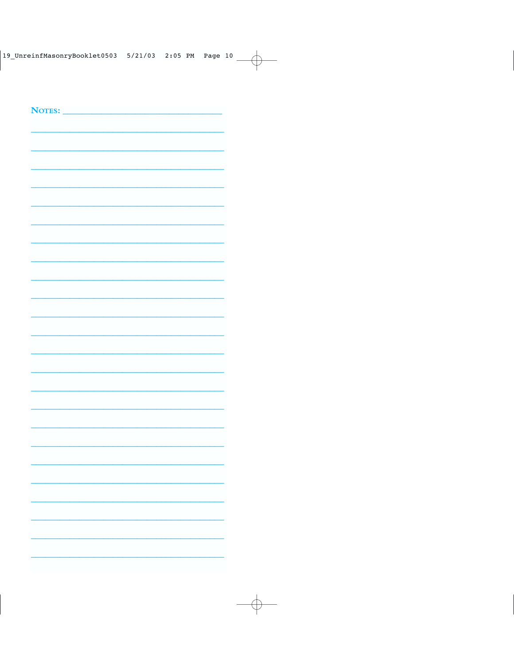| NOTES: |  |  |
|--------|--|--|
|        |  |  |
|        |  |  |
|        |  |  |
|        |  |  |
|        |  |  |
|        |  |  |
|        |  |  |
|        |  |  |
|        |  |  |
|        |  |  |
|        |  |  |
|        |  |  |
|        |  |  |
|        |  |  |
|        |  |  |
|        |  |  |
|        |  |  |
|        |  |  |
|        |  |  |
|        |  |  |
|        |  |  |
|        |  |  |
|        |  |  |
|        |  |  |
|        |  |  |
|        |  |  |
|        |  |  |
|        |  |  |
|        |  |  |
|        |  |  |
|        |  |  |
|        |  |  |
|        |  |  |
|        |  |  |
|        |  |  |
|        |  |  |
|        |  |  |
|        |  |  |
|        |  |  |
|        |  |  |
|        |  |  |
|        |  |  |
|        |  |  |
|        |  |  |
|        |  |  |
|        |  |  |
|        |  |  |
|        |  |  |